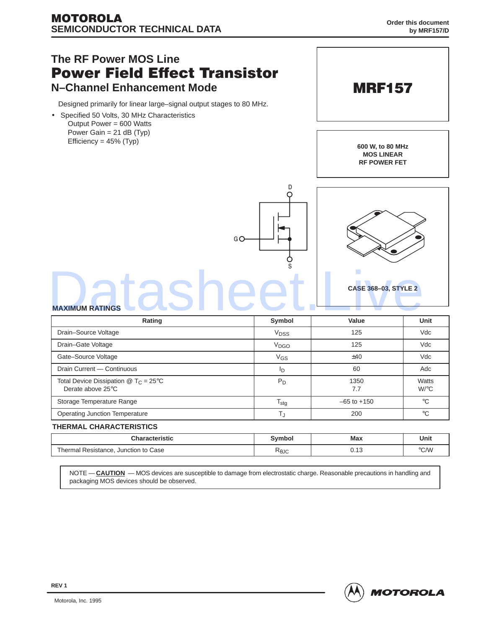

NOTE — **CAUTION** — MOS devices are susceptible to damage from electrostatic charge. Reasonable precautions in handling and packaging MOS devices should be observed.

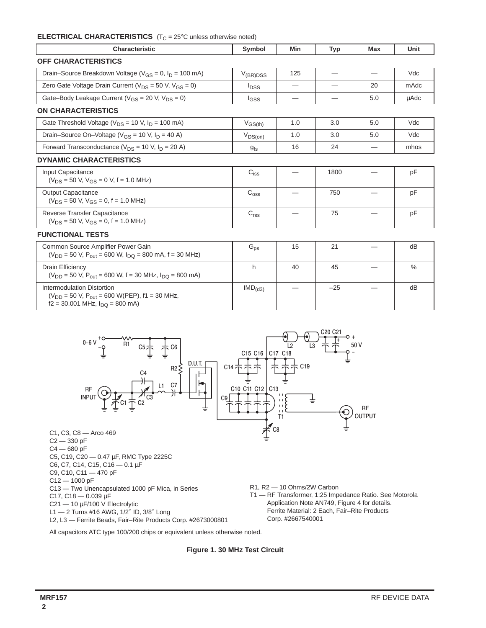# **ELECTRICAL CHARACTERISTICS** (T<sub>C</sub> = 25°C unless otherwise noted)

| <b>Characteristic</b>                                                                                                                        | Symbol                  | Min | <b>Typ</b> | <b>Max</b> | Unit          |
|----------------------------------------------------------------------------------------------------------------------------------------------|-------------------------|-----|------------|------------|---------------|
| <b>OFF CHARACTERISTICS</b>                                                                                                                   |                         |     |            |            |               |
| Drain–Source Breakdown Voltage ( $V_{GS} = 0$ , $I_D = 100$ mA)                                                                              | $V_{(BR)DSS}$           | 125 |            |            | Vdc           |
| Zero Gate Voltage Drain Current ( $V_{DS}$ = 50 V, $V_{GS}$ = 0)                                                                             | <b>I</b> <sub>DSS</sub> |     |            | 20         | mAdc          |
| Gate-Body Leakage Current ( $V_{GS}$ = 20 V, $V_{DS}$ = 0)                                                                                   | l <sub>GSS</sub>        | —   |            | 5.0        | uAdc          |
| <b>ON CHARACTERISTICS</b>                                                                                                                    |                         |     |            |            |               |
| Gate Threshold Voltage ( $V_{DS}$ = 10 V, $I_D$ = 100 mA)                                                                                    | $V_{GS(th)}$            | 1.0 | 3.0        | 5.0        | Vdc           |
| Drain-Source On-Voltage ( $V_{GS}$ = 10 V, $I_D$ = 40 A)                                                                                     | $V_{DS(on)}$            | 1.0 | 3.0        | 5.0        | Vdc           |
| Forward Transconductance ( $V_{DS}$ = 10 V, $I_D$ = 20 A)                                                                                    | g <sub>fs</sub>         | 16  | 24         |            | mhos          |
| <b>DYNAMIC CHARACTERISTICS</b>                                                                                                               |                         |     |            |            |               |
| Input Capacitance<br>$(V_{DS} = 50 V, V_{GS} = 0 V, f = 1.0 MHz)$                                                                            | $C_{iss}$               |     | 1800       |            | pF            |
| <b>Output Capacitance</b><br>$(V_{DS} = 50 V, V_{GS} = 0, f = 1.0 MHz)$                                                                      | $C_{\rm{oss}}$          |     | 750        |            | pF            |
| Reverse Transfer Capacitance<br>$(V_{DS} = 50 V, V_{GS} = 0, f = 1.0 MHz)$                                                                   | C <sub>rss</sub>        |     | 75         |            | pF            |
| <b>FUNCTIONAL TESTS</b>                                                                                                                      |                         |     |            |            |               |
| Common Source Amplifier Power Gain<br>$(V_{DD} = 50 V, P_{out} = 600 W, I_{DD} = 800 mA, f = 30 MHz)$                                        | $G_{\text{ps}}$         | 15  | 21         |            | dB            |
| <b>Drain Efficiency</b><br>$(V_{DD} = 50 V, P_{out} = 600 W, f = 30 MHz, I_{DO} = 800 mA)$                                                   | h                       | 40  | 45         |            | $\frac{0}{0}$ |
| Intermodulation Distortion<br>( $V_{DD}$ = 50 V, P <sub>out</sub> = 600 W(PEP), f1 = 30 MHz,<br>$f2 = 30.001$ MHz, $I_{\text{DO}} = 800$ mA) | $IMD_{(d3)}$            |     | $-25$      |            | dB            |



All capacitors ATC type 100/200 chips or equivalent unless otherwise noted.

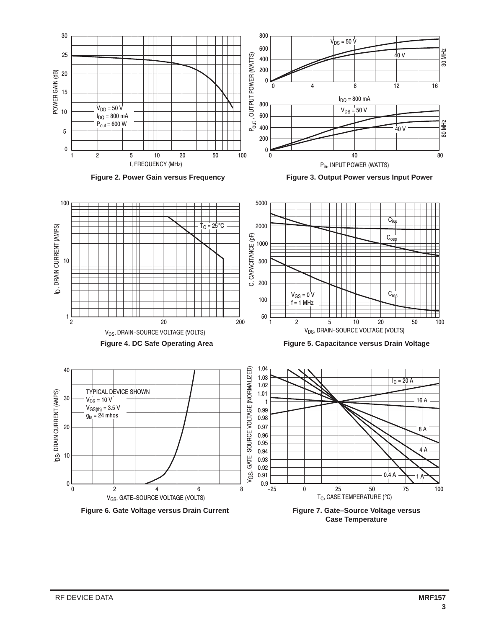

**Case Temperature**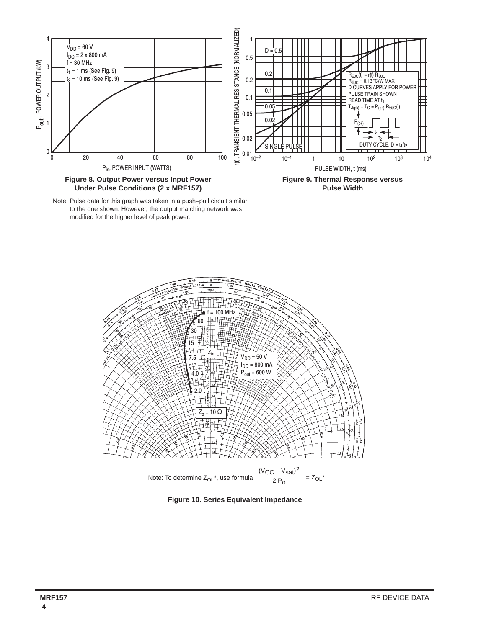





Figure 10. Series Equivalent Impedance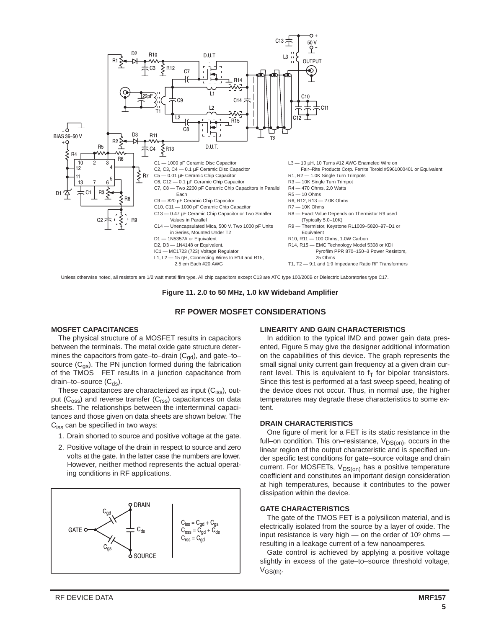

Unless otherwise noted, all resistors are 1/2 watt metal film type. All chip capacitors except C13 are ATC type 100/200B or Dielectric Laboratories type C17.

**Figure 11. 2.0 to 50 MHz, 1.0 kW Wideband Amplifier**

## **RF POWER MOSFET CONSIDERATIONS**

### **MOSFET CAPACITANCES**

The physical structure of a MOSFET results in capacitors between the terminals. The metal oxide gate structure determines the capacitors from gate–to–drain  $(C_{gd})$ , and gate–to– source  $(C_{qs})$ . The PN junction formed during the fabrication of the  $TMOS^{\circledR}$  FET results in a junction capacitance from drain–to–source  $(C_{ds})$ .

These capacitances are characterized as input  $(C_{\text{iss}})$ , output  $(C_{\text{oss}})$  and reverse transfer  $(C_{\text{rss}})$  capacitances on data sheets. The relationships between the interterminal capacitances and those given on data sheets are shown below. The C<sub>iss</sub> can be specified in two ways:

- 1. Drain shorted to source and positive voltage at the gate.
- 2. Positive voltage of the drain in respect to source and zero volts at the gate. In the latter case the numbers are lower. However, neither method represents the actual operating conditions in RF applications.



## **LINEARITY AND GAIN CHARACTERISTICS**

In addition to the typical IMD and power gain data presented, Figure 5 may give the designer additional information on the capabilities of this device. The graph represents the small signal unity current gain frequency at a given drain current level. This is equivalent to  $f<sub>T</sub>$  for bipolar transistors. Since this test is performed at a fast sweep speed, heating of the device does not occur. Thus, in normal use, the higher temperatures may degrade these characteristics to some extent.

## **DRAIN CHARACTERISTICS**

One figure of merit for a FET is its static resistance in the full–on condition. This on–resistance,  $V_{DS(0n)}$ , occurs in the linear region of the output characteristic and is specified under specific test conditions for gate–source voltage and drain current. For MOSFETs,  $V_{DS(on)}$  has a positive temperature coefficient and constitutes an important design consideration at high temperatures, because it contributes to the power dissipation within the device.

#### **GATE CHARACTERISTICS**

The gate of the TMOS FET is a polysilicon material, and is electrically isolated from the source by a layer of oxide. The input resistance is very high  $-$  on the order of 10 $9$  ohms resulting in a leakage current of a few nanoamperes.

Gate control is achieved by applying a positive voltage slightly in excess of the gate–to–source threshold voltage,  $V_{GS(th)}$ .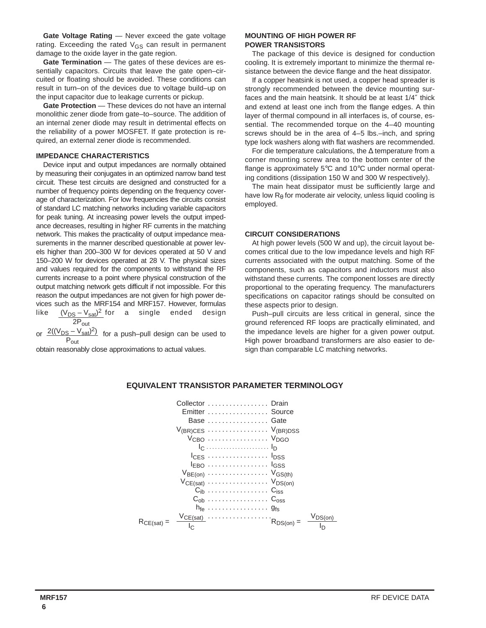**Gate Voltage Rating** — Never exceed the gate voltage rating. Exceeding the rated  $V_{GS}$  can result in permanent damage to the oxide layer in the gate region.

**Gate Termination** — The gates of these devices are essentially capacitors. Circuits that leave the gate open–circuited or floating should be avoided. These conditions can result in turn–on of the devices due to voltage build–up on the input capacitor due to leakage currents or pickup.

**Gate Protection** — These devices do not have an internal monolithic zener diode from gate–to–source. The addition of an internal zener diode may result in detrimental effects on the reliability of a power MOSFET. If gate protection is required, an external zener diode is recommended.

## **IMPEDANCE CHARACTERISTICS**

Device input and output impedances are normally obtained by measuring their conjugates in an optimized narrow band test circuit. These test circuits are designed and constructed for a number of frequency points depending on the frequency coverage of characterization. For low frequencies the circuits consist of standard LC matching networks including variable capacitors for peak tuning. At increasing power levels the output impedance decreases, resulting in higher RF currents in the matching network. This makes the practicality of output impedance measurements in the manner described questionable at power levels higher than 200–300 W for devices operated at 50 V and 150–200 W for devices operated at 28 V. The physical sizes and values required for the components to withstand the RF currents increase to a point where physical construction of the output matching network gets difficult if not impossible. For this reason the output impedances are not given for high power devices such as the MRF154 and MRF157. However, formulas like <u>(V<sub>DS</sub>-V<sub>sat</sub>)<sup>2</sup></u> for a single ended design  $2P_{out}$ 

or  $\frac{2((V_{DS} - V_{sat})^2)}{2}$  for a push–pull design can be used to  $\overline{P_{\text{out}}}$ 

obtain reasonably close approximations to actual values.

## **MOUNTING OF HIGH POWER RF POWER TRANSISTORS**

The package of this device is designed for conduction cooling. It is extremely important to minimize the thermal resistance between the device flange and the heat dissipator.

If a copper heatsink is not used, a copper head spreader is strongly recommended between the device mounting surfaces and the main heatsink. It should be at least 1/4″ thick and extend at least one inch from the flange edges. A thin layer of thermal compound in all interfaces is, of course, essential. The recommended torque on the 4–40 mounting screws should be in the area of 4–5 lbs.–inch, and spring type lock washers along with flat washers are recommended.

For die temperature calculations, the ∆ temperature from a corner mounting screw area to the bottom center of the flange is approximately 5°C and 10°C under normal operating conditions (dissipation 150 W and 300 W respectively).

The main heat dissipator must be sufficiently large and have low  $R_{\theta}$  for moderate air velocity, unless liquid cooling is employed.

## **CIRCUIT CONSIDERATIONS**

At high power levels (500 W and up), the circuit layout becomes critical due to the low impedance levels and high RF currents associated with the output matching. Some of the components, such as capacitors and inductors must also withstand these currents. The component losses are directly proportional to the operating frequency. The manufacturers specifications on capacitor ratings should be consulted on these aspects prior to design.

Push–pull circuits are less critical in general, since the ground referenced RF loops are practically eliminated, and the impedance levels are higher for a given power output. High power broadband transformers are also easier to design than comparable LC matching networks.

|               |     | Collector  Drain<br>Emitter  Source<br>Base  Gate<br>$V_{(BR)CES}$ $V_{(BR)DSS}$<br>$VCBO$ $VDGO$<br>$l_{\text{CFS}}$ $l_{\text{DSS}}$<br>$V_{BE(on)}$ $V_{GS(th)}$<br>$V_{CE(sat)} \ldots \ldots \ldots \ldots \ldots \cdot V_{DS(on)}$ |              |
|---------------|-----|------------------------------------------------------------------------------------------------------------------------------------------------------------------------------------------------------------------------------------------|--------------|
|               |     |                                                                                                                                                                                                                                          |              |
|               |     | $h_{fe}$ $g_{fs}$                                                                                                                                                                                                                        |              |
| $R_{CE(sat)}$ | Ic. |                                                                                                                                                                                                                                          | $V_{DS(on)}$ |

# **EQUIVALENT TRANSISTOR PARAMETER TERMINOLOGY**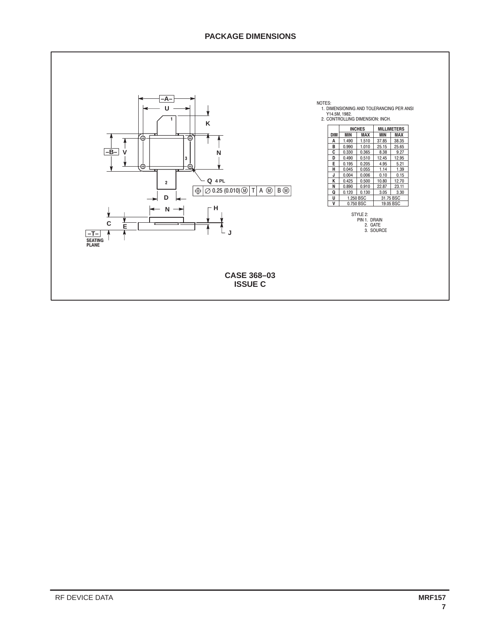